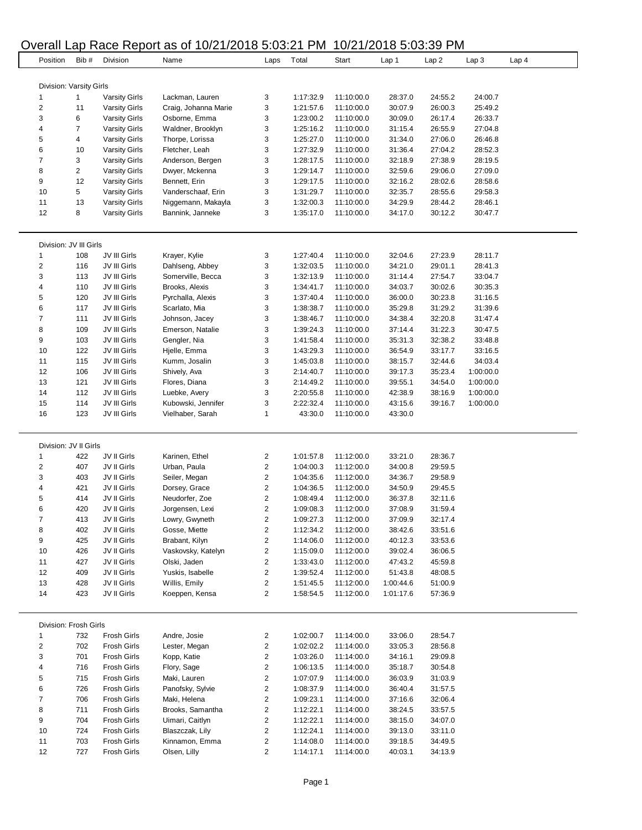# Overall Lap Race Report as of 10/21/2018 5:03:21 PM 10/21/2018 5:03:39 PM

|                         | $O$ verall Lap inducting point as on the resolution stock in the |                            |                                 |                                    |                        |                          | ואו ו פטיסיסים חומדוואו |                    |           |                  |  |  |  |
|-------------------------|------------------------------------------------------------------|----------------------------|---------------------------------|------------------------------------|------------------------|--------------------------|-------------------------|--------------------|-----------|------------------|--|--|--|
|                         | Bib #<br>Position                                                | Division                   | Name                            | Laps                               | Total                  | Start                    | Lap 1                   | Lap2               | Lap3      | Lap <sub>4</sub> |  |  |  |
|                         |                                                                  |                            |                                 |                                    |                        |                          |                         |                    |           |                  |  |  |  |
|                         | Division: Varsity Girls                                          |                            |                                 |                                    |                        |                          |                         |                    |           |                  |  |  |  |
| 1                       | 1                                                                | <b>Varsity Girls</b>       | Lackman, Lauren                 | 3                                  | 1:17:32.9              | 11:10:00.0               | 28:37.0                 | 24:55.2            | 24:00.7   |                  |  |  |  |
| $\overline{2}$          | 11                                                               | <b>Varsity Girls</b>       | Craig, Johanna Marie            | 3                                  | 1:21:57.6              | 11:10:00.0               | 30:07.9                 | 26:00.3            | 25:49.2   |                  |  |  |  |
| 3                       | 6                                                                | <b>Varsity Girls</b>       | Osborne, Emma                   | 3                                  | 1:23:00.2              | 11:10:00.0               | 30:09.0                 | 26:17.4            | 26:33.7   |                  |  |  |  |
| 4                       | 7                                                                | <b>Varsity Girls</b>       | Waldner, Brooklyn               | 3                                  | 1:25:16.2              | 11:10:00.0               | 31:15.4                 | 26:55.9            | 27:04.8   |                  |  |  |  |
| 5                       | 4                                                                | <b>Varsity Girls</b>       | Thorpe, Lorissa                 | 3                                  | 1:25:27.0              | 11:10:00.0               | 31:34.0                 | 27:06.0            | 26:46.8   |                  |  |  |  |
| 6                       | 10                                                               | <b>Varsity Girls</b>       | Fletcher, Leah                  | 3                                  | 1:27:32.9              | 11:10:00.0               | 31:36.4                 | 27:04.2            | 28:52.3   |                  |  |  |  |
| $\overline{7}$          | 3                                                                | <b>Varsity Girls</b>       | Anderson, Bergen                | 3                                  | 1:28:17.5              | 11:10:00.0               | 32:18.9                 | 27:38.9            | 28:19.5   |                  |  |  |  |
| 8                       | $\overline{2}$                                                   | <b>Varsity Girls</b>       | Dwyer, Mckenna                  | 3                                  | 1:29:14.7              | 11:10:00.0               | 32:59.6                 | 29:06.0            | 27:09.0   |                  |  |  |  |
| 9                       | 12                                                               | <b>Varsity Girls</b>       | Bennett, Erin                   | 3                                  | 1:29:17.5              | 11:10:00.0               | 32:16.2                 | 28:02.6            | 28:58.6   |                  |  |  |  |
| 10                      | 5                                                                | <b>Varsity Girls</b>       | Vanderschaaf, Erin              | 3                                  | 1:31:29.7              | 11:10:00.0               | 32:35.7                 | 28:55.6            | 29:58.3   |                  |  |  |  |
| 11                      | 13                                                               | <b>Varsity Girls</b>       | Niggemann, Makayla              | 3                                  | 1:32:00.3              | 11:10:00.0               | 34:29.9                 | 28:44.2            | 28:46.1   |                  |  |  |  |
| 12                      | 8                                                                | <b>Varsity Girls</b>       | Bannink, Janneke                | 3                                  | 1:35:17.0              | 11:10:00.0               | 34:17.0                 | 30:12.2            | 30:47.7   |                  |  |  |  |
|                         | Division: JV III Girls                                           |                            |                                 |                                    |                        |                          |                         |                    |           |                  |  |  |  |
| 1                       | 108                                                              | JV III Girls               | Krayer, Kylie                   | 3                                  | 1:27:40.4              | 11:10:00.0               | 32:04.6                 | 27:23.9            | 28:11.7   |                  |  |  |  |
| $\overline{\mathbf{c}}$ | 116                                                              | JV III Girls               | Dahlseng, Abbey                 | 3                                  | 1:32:03.5              | 11:10:00.0               | 34:21.0                 | 29:01.1            | 28:41.3   |                  |  |  |  |
| 3                       | 113                                                              | JV III Girls               | Somerville, Becca               | 3                                  | 1:32:13.9              | 11:10:00.0               | 31:14.4                 | 27:54.7            | 33:04.7   |                  |  |  |  |
| 4                       | 110                                                              | JV III Girls               | Brooks, Alexis                  | 3                                  | 1:34:41.7              | 11:10:00.0               | 34:03.7                 | 30:02.6            | 30:35.3   |                  |  |  |  |
| 5                       | 120                                                              | JV III Girls               | Pyrchalla, Alexis               | 3                                  | 1:37:40.4              | 11:10:00.0               | 36:00.0                 | 30:23.8            | 31:16.5   |                  |  |  |  |
| 6                       | 117                                                              | JV III Girls               | Scarlato, Mia                   | 3                                  | 1:38:38.7              | 11:10:00.0               | 35:29.8                 | 31:29.2            | 31:39.6   |                  |  |  |  |
| 7                       | 111                                                              | JV III Girls               | Johnson, Jacey                  | 3                                  | 1:38:46.7              | 11:10:00.0               | 34:38.4                 | 32:20.8            | 31:47.4   |                  |  |  |  |
| 8                       | 109                                                              | JV III Girls               | Emerson, Natalie                | 3                                  | 1:39:24.3              | 11:10:00.0               | 37:14.4                 | 31:22.3            | 30:47.5   |                  |  |  |  |
| 9                       | 103                                                              | JV III Girls               | Gengler, Nia                    | 3                                  | 1:41:58.4              | 11:10:00.0               | 35:31.3                 | 32:38.2            | 33:48.8   |                  |  |  |  |
| 10                      | 122                                                              | JV III Girls               | Hjelle, Emma                    | 3                                  | 1:43:29.3              | 11:10:00.0               | 36:54.9                 | 33:17.7            | 33:16.5   |                  |  |  |  |
| 11                      | 115                                                              | JV III Girls               | Kumm, Josalin                   | 3                                  | 1:45:03.8              | 11:10:00.0               | 38:15.7                 | 32:44.6            | 34:03.4   |                  |  |  |  |
| 12                      | 106                                                              | JV III Girls               | Shively, Ava                    | 3                                  | 2:14:40.7              | 11:10:00.0               | 39:17.3                 | 35:23.4            | 1:00:00.0 |                  |  |  |  |
| 13                      | 121                                                              | JV III Girls               | Flores, Diana                   | 3                                  | 2:14:49.2              | 11:10:00.0               | 39:55.1                 | 34:54.0            | 1:00:00.0 |                  |  |  |  |
| 14                      | 112                                                              | JV III Girls               | Luebke, Avery                   | 3                                  | 2:20:55.8              | 11:10:00.0               | 42:38.9                 | 38:16.9            | 1:00:00.0 |                  |  |  |  |
| 15                      | 114                                                              | JV III Girls               | Kubowski, Jennifer              | 3                                  | 2:22:32.4              | 11:10:00.0               | 43:15.6                 | 39:16.7            | 1:00:00.0 |                  |  |  |  |
| 16                      | 123                                                              | JV III Girls               | Vielhaber, Sarah                | 1                                  | 43:30.0                | 11:10:00.0               | 43:30.0                 |                    |           |                  |  |  |  |
|                         |                                                                  |                            |                                 |                                    |                        |                          |                         |                    |           |                  |  |  |  |
|                         | Division: JV II Girls                                            |                            |                                 |                                    |                        |                          |                         |                    |           |                  |  |  |  |
| 1                       | 422                                                              | JV II Girls                | Karinen, Ethel                  | $\overline{\mathbf{c}}$            | 1:01:57.8              | 11:12:00.0               | 33:21.0                 | 28:36.7            |           |                  |  |  |  |
| $\overline{2}$          | 407                                                              | JV II Girls                | Urban, Paula                    | 2                                  | 1:04:00.3              | 11:12:00.0               | 34:00.8                 | 29:59.5            |           |                  |  |  |  |
| 3                       | 403                                                              | JV II Girls                | Seiler, Megan                   | $\overline{\mathbf{c}}$            | 1:04:35.6              | 11:12:00.0               | 34:36.7                 | 29:58.9            |           |                  |  |  |  |
| 4                       | 421                                                              | JV II Girls                | Dorsey, Grace                   | $\overline{2}$                     | 1:04:36.5              | 11:12:00.0               | 34:50.9                 | 29:45.5            |           |                  |  |  |  |
| 5                       | 414                                                              | JV II Girls                | Neudorfer, Zoe                  | $\boldsymbol{2}$<br>$\overline{2}$ | 1:08:49.4              | 11:12:00.0               | 36:37.8                 | 32:11.6            |           |                  |  |  |  |
| 6                       | 420                                                              | JV II Girls                | Jorgensen, Lexi                 |                                    | 1:09:08.3              | 11:12:00.0               | 37:08.9                 | 31:59.4            |           |                  |  |  |  |
| 7<br>8                  | 413                                                              | JV II Girls<br>JV II Girls | Lowry, Gwyneth<br>Gosse, Miette | 2<br>$\boldsymbol{2}$              | 1:09:27.3              | 11:12:00.0               | 37:09.9                 | 32:17.4            |           |                  |  |  |  |
| 9                       | 402<br>425                                                       | JV II Girls                | Brabant, Kilyn                  | 2                                  | 1:12:34.2<br>1:14:06.0 | 11:12:00.0<br>11:12:00.0 | 38:42.6<br>40:12.3      | 33:51.6<br>33:53.6 |           |                  |  |  |  |
| 10                      | 426                                                              | JV II Girls                | Vaskovsky, Katelyn              | 2                                  | 1:15:09.0              | 11:12:00.0               | 39:02.4                 | 36:06.5            |           |                  |  |  |  |
| 11                      | 427                                                              | JV II Girls                | Olski, Jaden                    | $\overline{\mathbf{c}}$            | 1:33:43.0              | 11:12:00.0               | 47:43.2                 | 45:59.8            |           |                  |  |  |  |
| 12                      | 409                                                              | JV II Girls                | Yuskis, Isabelle                | $\overline{2}$                     | 1:39:52.4              | 11:12:00.0               | 51:43.8                 | 48:08.5            |           |                  |  |  |  |
| 13                      | 428                                                              | JV II Girls                | Willis, Emily                   | 2                                  | 1:51:45.5              | 11:12:00.0               | 1:00:44.6               | 51:00.9            |           |                  |  |  |  |
| 14                      | 423                                                              | JV II Girls                | Koeppen, Kensa                  | $\overline{c}$                     | 1:58:54.5              | 11:12:00.0               | 1:01:17.6               | 57:36.9            |           |                  |  |  |  |
|                         |                                                                  |                            |                                 |                                    |                        |                          |                         |                    |           |                  |  |  |  |
|                         | Division: Frosh Girls                                            |                            |                                 |                                    |                        |                          |                         |                    |           |                  |  |  |  |
| 1                       | 732                                                              | Frosh Girls                | Andre, Josie                    | $\overline{\mathbf{c}}$            | 1:02:00.7              | 11:14:00.0               | 33:06.0                 | 28:54.7            |           |                  |  |  |  |
| $\overline{\mathbf{c}}$ | 702                                                              | Frosh Girls                | Lester, Megan                   | $\overline{\mathbf{c}}$            | 1:02:02.2              | 11:14:00.0               | 33:05.3                 | 28:56.8            |           |                  |  |  |  |
| 3                       | 701                                                              | Frosh Girls                | Kopp, Katie                     | $\overline{\mathbf{c}}$            | 1:03:26.0              | 11:14:00.0               | 34:16.1                 | 29:09.8            |           |                  |  |  |  |
| 4                       | 716                                                              | Frosh Girls                | Flory, Sage                     | $\overline{\mathbf{c}}$            | 1:06:13.5              | 11:14:00.0               | 35:18.7                 | 30:54.8            |           |                  |  |  |  |
| 5                       | 715                                                              | Frosh Girls                | Maki, Lauren                    | $\overline{\mathbf{c}}$            | 1:07:07.9              | 11:14:00.0               | 36:03.9                 | 31:03.9            |           |                  |  |  |  |
| 6                       | 726                                                              | Frosh Girls                | Panofsky, Sylvie                | $\boldsymbol{2}$                   | 1:08:37.9              | 11:14:00.0               | 36:40.4                 | 31:57.5            |           |                  |  |  |  |
| $\overline{7}$          | 706                                                              | Frosh Girls                | Maki, Helena                    | $\overline{\mathbf{c}}$            | 1:09:23.1              | 11:14:00.0               | 37:16.6                 | 32:06.4            |           |                  |  |  |  |
| 8                       | 711                                                              | Frosh Girls                | Brooks, Samantha                | $\overline{\mathbf{c}}$            | 1:12:22.1              | 11:14:00.0               | 38:24.5                 | 33:57.5            |           |                  |  |  |  |
| 9                       | 704                                                              | Frosh Girls                | Uimari, Caitlyn                 | $\overline{\mathbf{c}}$            | 1:12:22.1              | 11:14:00.0               | 38:15.0                 | 34:07.0            |           |                  |  |  |  |
| 10                      | 724                                                              | Frosh Girls                | Blaszczak, Lily                 | $\overline{\mathbf{c}}$            | 1:12:24.1              | 11:14:00.0               | 39:13.0                 | 33:11.0            |           |                  |  |  |  |
| 11                      | 703                                                              | Frosh Girls                | Kinnamon, Emma                  | $\overline{\mathbf{c}}$            | 1:14:08.0              | 11:14:00.0               | 39:18.5                 | 34:49.5            |           |                  |  |  |  |
| 12                      | 727                                                              | Frosh Girls                | Olsen, Lilly                    | $\overline{2}$                     | 1:14:17.1              | 11:14:00.0               | 40:03.1                 | 34:13.9            |           |                  |  |  |  |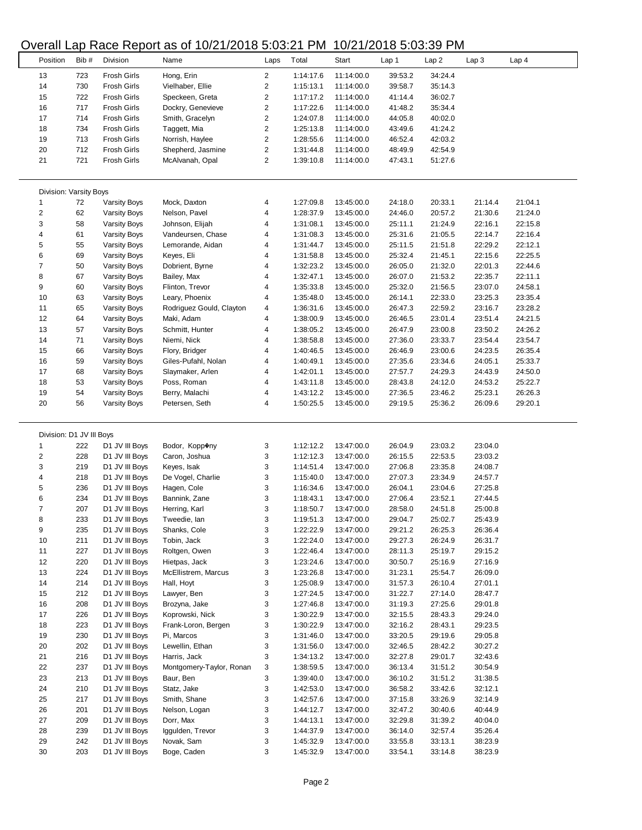## Overall Lap Race Report as of 10/21/2018 5:03:21 PM 10/21/2018 5:03:39 PM

|                          |            | - - - -                                  |                                      |                         |                        |            |                    |                    |                  |                  |
|--------------------------|------------|------------------------------------------|--------------------------------------|-------------------------|------------------------|------------|--------------------|--------------------|------------------|------------------|
| Position                 | Bib#       | Division                                 | Name                                 | Laps                    | Total                  | Start      | Lap 1              | Lap2               | Lap <sub>3</sub> | Lap <sub>4</sub> |
| 13                       | 723        | Frosh Girls                              |                                      | 2                       | 1:14:17.6              | 11:14:00.0 | 39:53.2            | 34:24.4            |                  |                  |
| 14                       |            |                                          | Hong, Erin                           | $\overline{\mathbf{c}}$ |                        |            |                    |                    |                  |                  |
| 15                       | 730<br>722 | <b>Frosh Girls</b><br><b>Frosh Girls</b> | Vielhaber, Ellie                     | $\overline{\mathbf{c}}$ | 1:15:13.1<br>1:17:17.2 | 11:14:00.0 | 39:58.7<br>41:14.4 | 35:14.3<br>36:02.7 |                  |                  |
|                          |            |                                          | Speckeen, Greta<br>Dockry, Genevieve | $\overline{c}$          |                        | 11:14:00.0 |                    |                    |                  |                  |
| 16                       | 717        | <b>Frosh Girls</b>                       |                                      |                         | 1:17:22.6              | 11:14:00.0 | 41:48.2            | 35:34.4            |                  |                  |
| 17                       | 714        | <b>Frosh Girls</b>                       | Smith, Gracelyn                      | $\overline{\mathbf{c}}$ | 1:24:07.8              | 11:14:00.0 | 44:05.8            | 40:02.0            |                  |                  |
| 18                       | 734        | <b>Frosh Girls</b>                       | Taggett, Mia                         | $\overline{\mathbf{c}}$ | 1:25:13.8              | 11:14:00.0 | 43:49.6            | 41:24.2            |                  |                  |
| 19                       | 713        | <b>Frosh Girls</b>                       | Norrish, Haylee                      | $\overline{\mathbf{c}}$ | 1:28:55.6              | 11:14:00.0 | 46:52.4            | 42:03.2            |                  |                  |
| 20                       | 712        | <b>Frosh Girls</b>                       | Shepherd, Jasmine                    | $\overline{\mathbf{c}}$ | 1:31:44.8              | 11:14:00.0 | 48:49.9            | 42:54.9            |                  |                  |
| 21                       | 721        | <b>Frosh Girls</b>                       | McAlvanah, Opal                      | $\overline{2}$          | 1:39:10.8              | 11:14:00.0 | 47:43.1            | 51:27.6            |                  |                  |
| Division: Varsity Boys   |            |                                          |                                      |                         |                        |            |                    |                    |                  |                  |
| 1                        | 72         | <b>Varsity Boys</b>                      | Mock, Daxton                         | 4                       | 1:27:09.8              | 13:45:00.0 | 24:18.0            | 20:33.1            | 21:14.4          | 21:04.1          |
| $\overline{\mathbf{c}}$  | 62         | <b>Varsity Boys</b>                      | Nelson, Pavel                        | 4                       | 1:28:37.9              | 13:45:00.0 | 24:46.0            | 20:57.2            | 21:30.6          | 21:24.0          |
| 3                        | 58         | <b>Varsity Boys</b>                      | Johnson, Elijah                      | 4                       | 1:31:08.1              | 13:45:00.0 | 25:11.1            | 21:24.9            | 22:16.1          | 22:15.8          |
| 4                        | 61         | Varsity Boys                             | Vandeursen, Chase                    | 4                       | 1:31:08.3              | 13:45:00.0 | 25:31.6            | 21:05.5            | 22:14.7          | 22:16.4          |
| 5                        | 55         | <b>Varsity Boys</b>                      | Lemorande, Aidan                     | 4                       | 1:31:44.7              | 13:45:00.0 | 25:11.5            | 21:51.8            | 22:29.2          | 22:12.1          |
| 6                        | 69         | <b>Varsity Boys</b>                      | Keyes, Eli                           | 4                       | 1:31:58.8              | 13:45:00.0 | 25:32.4            | 21:45.1            | 22:15.6          | 22:25.5          |
| 7                        | 50         | <b>Varsity Boys</b>                      | Dobrient, Byrne                      | 4                       | 1:32:23.2              | 13:45:00.0 | 26:05.0            | 21:32.0            | 22:01.3          | 22:44.6          |
| 8                        | 67         | <b>Varsity Boys</b>                      | Bailey, Max                          | 4                       | 1:32:47.1              | 13:45:00.0 | 26:07.0            | 21:53.2            | 22:35.7          | 22:11.1          |
| 9                        | 60         | <b>Varsity Boys</b>                      | Flinton, Trevor                      | 4                       | 1:35:33.8              | 13:45:00.0 | 25:32.0            | 21:56.5            | 23:07.0          | 24:58.1          |
| 10                       | 63         | <b>Varsity Boys</b>                      | Leary, Phoenix                       | 4                       | 1:35:48.0              | 13:45:00.0 | 26:14.1            | 22:33.0            | 23:25.3          | 23:35.4          |
| 11                       | 65         | Varsity Boys                             | Rodriguez Gould, Clayton             | 4                       | 1:36:31.6              | 13:45:00.0 | 26:47.3            | 22:59.2            | 23:16.7          | 23:28.2          |
| 12                       | 64         | Varsity Boys                             | Maki, Adam                           | 4                       | 1:38:00.9              | 13:45:00.0 | 26:46.5            | 23:01.4            | 23:51.4          | 24:21.5          |
|                          |            |                                          |                                      | 4                       |                        |            |                    |                    |                  |                  |
| 13                       | 57         | <b>Varsity Boys</b>                      | Schmitt, Hunter                      |                         | 1:38:05.2              | 13:45:00.0 | 26:47.9            | 23:00.8            | 23:50.2          | 24:26.2          |
| 14                       | 71         | Varsity Boys                             | Niemi, Nick                          | 4                       | 1:38:58.8              | 13:45:00.0 | 27:36.0            | 23:33.7            | 23:54.4          | 23:54.7          |
| 15                       | 66         | Varsity Boys                             | Flory, Bridger                       | 4                       | 1:40:46.5              | 13:45:00.0 | 26:46.9            | 23:00.6            | 24:23.5          | 26:35.4          |
| 16                       | 59         | <b>Varsity Boys</b>                      | Giles-Pufahl, Nolan                  | 4                       | 1:40:49.1              | 13:45:00.0 | 27:35.6            | 23:34.6            | 24:05.1          | 25:33.7          |
| 17                       | 68         | <b>Varsity Boys</b>                      | Slaymaker, Arlen                     | 4                       | 1:42:01.1              | 13:45:00.0 | 27:57.7            | 24:29.3            | 24:43.9          | 24:50.0          |
| 18                       | 53         | Varsity Boys                             | Poss, Roman                          | 4                       | 1:43:11.8              | 13:45:00.0 | 28:43.8            | 24:12.0            | 24:53.2          | 25:22.7          |
| 19                       | 54         | <b>Varsity Boys</b>                      | Berry, Malachi                       | $\overline{4}$          | 1:43:12.2              | 13:45:00.0 | 27:36.5            | 23:46.2            | 25:23.1          | 26:26.3          |
| 20                       | 56         | <b>Varsity Boys</b>                      | Petersen, Seth                       | 4                       | 1:50:25.5              | 13:45:00.0 | 29:19.5            | 25:36.2            | 26:09.6          | 29:20.1          |
|                          |            |                                          |                                      |                         |                        |            |                    |                    |                  |                  |
|                          |            |                                          |                                      |                         |                        |            |                    |                    |                  |                  |
| Division: D1 JV III Boys |            |                                          |                                      |                         |                        |            |                    |                    |                  |                  |
| 1                        | 222        | D1 JV III Boys                           | Bodor, Kopp@ny                       | 3                       | 1:12:12.2              | 13:47:00.0 | 26:04.9            | 23:03.2            | 23:04.0          |                  |
| 2                        | 228        | D1 JV III Boys                           | Caron, Joshua                        | 3                       | 1:12:12.3              | 13:47:00.0 | 26:15.5            | 22:53.5            | 23:03.2          |                  |
| 3                        | 219        | D1 JV III Boys                           | Keyes, Isak                          | 3                       | 1:14:51.4              | 13:47:00.0 | 27:06.8            | 23:35.8            | 24:08.7          |                  |
| 4                        | 218        | D1 JV III Boys                           | De Vogel, Charlie                    | 3                       | 1:15:40.0              | 13:47:00.0 | 27:07.3            | 23:34.9            | 24:57.7          |                  |
| 5                        | 236        | D1 JV III Boys                           | Hagen, Cole                          | 3                       | 1:16:34.6              | 13:47:00.0 | 26:04.1            | 23:04.6            | 27:25.8          |                  |
| 6                        | 234        | D1 JV III Boys                           | Bannink, Zane                        | 3                       | 1:18:43.1              | 13:47:00.0 | 27:06.4            | 23:52.1            | 27:44.5          |                  |
| $\overline{7}$           | 207        | D1 JV III Boys                           | Herring, Karl                        | 3                       | 1:18:50.7              | 13:47:00.0 | 28:58.0            | 24:51.8            | 25:00.8          |                  |
| 8                        | 233        | D1 JV III Boys                           | Tweedie, lan                         | 3                       | 1:19:51.3              | 13:47:00.0 | 29:04.7            | 25:02.7            | 25:43.9          |                  |
| 9                        | 235        | D1 JV III Boys                           | Shanks, Cole                         | 3                       | 1:22:22.9              | 13:47:00.0 | 29:21.2            | 26:25.3            | 26:36.4          |                  |
| 10                       | 211        | D1 JV III Boys                           | Tobin, Jack                          | 3                       | 1:22:24.0              | 13:47:00.0 | 29:27.3            | 26:24.9            | 26:31.7          |                  |
| 11                       | 227        | D1 JV III Boys                           | Roltgen, Owen                        | 3                       | 1:22:46.4              | 13:47:00.0 | 28:11.3            | 25:19.7            | 29:15.2          |                  |
| 12                       | 220        | D1 JV III Boys                           | Hietpas, Jack                        | 3                       | 1:23:24.6              | 13:47:00.0 | 30:50.7            | 25:16.9            | 27:16.9          |                  |
| 13                       | 224        | D1 JV III Boys                           | McEllistrem, Marcus                  | 3                       | 1:23:26.8              | 13:47:00.0 | 31:23.1            | 25:54.7            | 26:09.0          |                  |
| 14                       | 214        | D1 JV III Boys                           | Hall, Hoyt                           | 3                       | 1:25:08.9              | 13:47:00.0 | 31:57.3            | 26:10.4            | 27:01.1          |                  |
| 15                       | 212        | D1 JV III Boys                           | Lawyer, Ben                          | 3                       | 1:27:24.5              | 13:47:00.0 | 31:22.7            | 27:14.0            | 28:47.7          |                  |
| 16                       | 208        | D1 JV III Boys                           | Brozyna, Jake                        | 3                       | 1:27:46.8              | 13:47:00.0 | 31:19.3            | 27:25.6            | 29:01.8          |                  |
|                          |            |                                          |                                      |                         | 1:30:22.9              |            |                    |                    |                  |                  |
| 17                       | 226        | D1 JV III Boys                           | Koprowski, Nick                      | 3                       |                        | 13:47:00.0 | 32:15.5            | 28:43.3            | 29:24.0          |                  |
| 18                       | 223        | D1 JV III Boys                           | Frank-Loron, Bergen                  | 3                       | 1:30:22.9              | 13:47:00.0 | 32:16.2            | 28:43.1            | 29:23.5          |                  |
| 19                       | 230        | D1 JV III Boys                           | Pi, Marcos                           | 3                       | 1:31:46.0              | 13:47:00.0 | 33:20.5            | 29:19.6            | 29:05.8          |                  |
| 20                       | 202        | D1 JV III Boys                           | Lewellin, Ethan                      | 3                       | 1:31:56.0              | 13:47:00.0 | 32:46.5            | 28:42.2            | 30:27.2          |                  |
| 21                       | 216        | D1 JV III Boys                           | Harris, Jack                         | 3                       | 1:34:13.2              | 13:47:00.0 | 32:27.8            | 29:01.7            | 32:43.6          |                  |
| 22                       | 237        | D1 JV III Boys                           | Montgomery-Taylor, Ronan             | 3                       | 1:38:59.5              | 13:47:00.0 | 36:13.4            | 31:51.2            | 30:54.9          |                  |
| 23                       | 213        | D1 JV III Boys                           | Baur, Ben                            | 3                       | 1:39:40.0              | 13:47:00.0 | 36:10.2            | 31:51.2            | 31:38.5          |                  |
| 24                       | 210        | D1 JV III Boys                           | Statz, Jake                          | 3                       | 1:42:53.0              | 13:47:00.0 | 36:58.2            | 33:42.6            | 32:12.1          |                  |
| 25                       | 217        | D1 JV III Boys                           | Smith, Shane                         | 3                       | 1:42:57.6              | 13:47:00.0 | 37:15.8            | 33:26.9            | 32:14.9          |                  |
| 26                       | 201        | D1 JV III Boys                           | Nelson, Logan                        | 3                       | 1:44:12.7              | 13:47:00.0 | 32:47.2            | 30:40.6            | 40:44.9          |                  |
| 27                       | 209        | D1 JV III Boys                           | Dorr, Max                            | 3                       | 1:44:13.1              | 13:47:00.0 | 32:29.8            | 31:39.2            | 40:04.0          |                  |
| 28                       | 239        | D1 JV III Boys                           | Iggulden, Trevor                     | 3                       | 1:44:37.9              | 13:47:00.0 | 36:14.0            | 32:57.4            | 35:26.4          |                  |
| 29                       | 242        | D1 JV III Boys                           | Novak, Sam                           | 3                       | 1:45:32.9              | 13:47:00.0 | 33:55.8            | 33:13.1            | 38:23.9          |                  |
| 30                       | 203        | D1 JV III Boys                           | Boge, Caden                          | 3                       | 1:45:32.9              | 13:47:00.0 | 33:54.1            | 33:14.8            | 38:23.9          |                  |
|                          |            |                                          |                                      |                         |                        |            |                    |                    |                  |                  |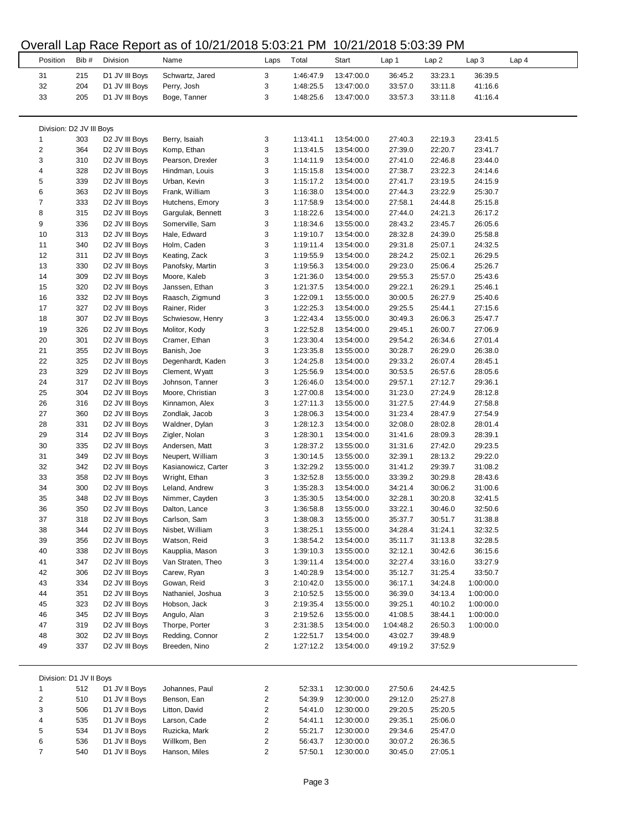### Overall Lap Race Report as of 10/21/2018 5:03:21 PM 10/21/2018 5:03:39 PM

| Position                 | Bib #      | Division                                                 | Name                              | Laps           | Total                  | Start                    | Lap 1              | Lap 2              | Lap 3                  | Lap <sub>4</sub> |
|--------------------------|------------|----------------------------------------------------------|-----------------------------------|----------------|------------------------|--------------------------|--------------------|--------------------|------------------------|------------------|
| 31                       | 215        | D1 JV III Boys                                           | Schwartz, Jared                   | 3              | 1:46:47.9              | 13:47:00.0               | 36:45.2            | 33:23.1            | 36:39.5                |                  |
| 32                       | 204        | D1 JV III Boys                                           | Perry, Josh                       | 3              | 1:48:25.5              | 13:47:00.0               | 33:57.0            | 33:11.8            | 41:16.6                |                  |
| 33                       | 205        | D1 JV III Boys                                           | Boge, Tanner                      | 3              | 1:48:25.6              | 13:47:00.0               | 33:57.3            | 33:11.8            | 41:16.4                |                  |
|                          |            |                                                          |                                   |                |                        |                          |                    |                    |                        |                  |
| Division: D2 JV III Boys |            |                                                          |                                   |                |                        |                          |                    |                    |                        |                  |
| 1                        | 303        | D2 JV III Boys                                           | Berry, Isaiah                     | 3              | 1:13:41.1              | 13:54:00.0               | 27:40.3            | 22:19.3            | 23:41.5                |                  |
| $\overline{\mathbf{c}}$  | 364        | D <sub>2</sub> JV III Boys                               | Komp, Ethan                       | 3              | 1:13:41.5              | 13:54:00.0               | 27:39.0            | 22:20.7            | 23:41.7                |                  |
| 3                        | 310        | D <sub>2</sub> JV III Boys                               | Pearson, Drexler                  | 3              | 1:14:11.9              | 13:54:00.0               | 27:41.0            | 22:46.8            | 23:44.0                |                  |
| 4<br>5                   | 328<br>339 | D2 JV III Boys<br>D <sub>2</sub> JV III Boys             | Hindman, Louis<br>Urban, Kevin    | 3<br>3         | 1:15:15.8<br>1:15:17.2 | 13:54:00.0<br>13:54:00.0 | 27:38.7<br>27:41.7 | 23:22.3<br>23:19.5 | 24:14.6<br>24:15.9     |                  |
| 6                        | 363        | D <sub>2</sub> JV III Boys                               | Frank, William                    | 3              | 1:16:38.0              | 13:54:00.0               | 27:44.3            | 23:22.9            | 25:30.7                |                  |
| $\overline{7}$           | 333        | D <sub>2</sub> JV III Boys                               | Hutchens, Emory                   | 3              | 1:17:58.9              | 13:54:00.0               | 27:58.1            | 24:44.8            | 25:15.8                |                  |
| 8                        | 315        | D <sub>2</sub> JV III Boys                               | Gargulak, Bennett                 | 3              | 1:18:22.6              | 13:54:00.0               | 27:44.0            | 24:21.3            | 26:17.2                |                  |
| 9                        | 336        | D <sub>2</sub> JV III Boys                               | Somerville, Sam                   | 3              | 1:18:34.6              | 13:55:00.0               | 28:43.2            | 23:45.7            | 26:05.6                |                  |
| 10                       | 313        | D <sub>2</sub> JV III Boys                               | Hale, Edward                      | 3              | 1:19:10.7              | 13:54:00.0               | 28:32.8            | 24:39.0            | 25:58.8                |                  |
| 11                       | 340        | D2 JV III Boys                                           | Holm, Caden                       | 3              | 1:19:11.4              | 13:54:00.0               | 29:31.8            | 25:07.1            | 24:32.5                |                  |
| 12                       | 311        | D2 JV III Boys                                           | Keating, Zack                     | 3              | 1:19:55.9              | 13:54:00.0               | 28:24.2            | 25:02.1            | 26:29.5                |                  |
| 13<br>14                 | 330<br>309 | D2 JV III Boys                                           | Panofsky, Martin<br>Moore, Kaleb  | 3<br>3         | 1:19:56.3<br>1:21:36.0 | 13:54:00.0               | 29:23.0<br>29:55.3 | 25:06.4<br>25:57.0 | 25:26.7<br>25:43.6     |                  |
| 15                       | 320        | D <sub>2</sub> JV III Boys<br>D <sub>2</sub> JV III Boys | Janssen, Ethan                    | 3              | 1:21:37.5              | 13:54:00.0<br>13:54:00.0 | 29:22.1            | 26:29.1            | 25:46.1                |                  |
| 16                       | 332        | D <sub>2</sub> JV III Boys                               | Raasch, Zigmund                   | 3              | 1:22:09.1              | 13:55:00.0               | 30:00.5            | 26:27.9            | 25:40.6                |                  |
| 17                       | 327        | D <sub>2</sub> JV III Boys                               | Rainer, Rider                     | 3              | 1:22:25.3              | 13:54:00.0               | 29:25.5            | 25:44.1            | 27:15.6                |                  |
| 18                       | 307        | D2 JV III Boys                                           | Schwiesow, Henry                  | 3              | 1:22:43.4              | 13:55:00.0               | 30:49.3            | 26:06.3            | 25:47.7                |                  |
| 19                       | 326        | D2 JV III Boys                                           | Molitor, Kody                     | 3              | 1:22:52.8              | 13:54:00.0               | 29:45.1            | 26:00.7            | 27:06.9                |                  |
| 20                       | 301        | D2 JV III Boys                                           | Cramer, Ethan                     | 3              | 1:23:30.4              | 13:54:00.0               | 29:54.2            | 26:34.6            | 27:01.4                |                  |
| 21                       | 355        | D2 JV III Boys                                           | Banish, Joe                       | 3              | 1:23:35.8              | 13:55:00.0               | 30:28.7            | 26:29.0            | 26:38.0                |                  |
| 22                       | 325        | D2 JV III Boys                                           | Degenhardt, Kaden                 | 3              | 1:24:25.8              | 13:54:00.0               | 29:33.2            | 26:07.4            | 28:45.1                |                  |
| 23<br>24                 | 329<br>317 | D <sub>2</sub> JV III Boys<br>D2 JV III Boys             | Clement, Wyatt<br>Johnson, Tanner | 3<br>3         | 1:25:56.9<br>1:26:46.0 | 13:54:00.0<br>13:54:00.0 | 30:53.5<br>29:57.1 | 26:57.6<br>27:12.7 | 28:05.6<br>29:36.1     |                  |
| 25                       | 304        | D2 JV III Boys                                           | Moore, Christian                  | 3              | 1:27:00.8              | 13:54:00.0               | 31:23.0            | 27:24.9            | 28:12.8                |                  |
| 26                       | 316        | D <sub>2</sub> JV III Boys                               | Kinnamon, Alex                    | 3              | 1:27:11.3              | 13:55:00.0               | 31:27.5            | 27:44.9            | 27:58.8                |                  |
| 27                       | 360        | D <sub>2</sub> JV III Boys                               | Zondlak, Jacob                    | 3              | 1:28:06.3              | 13:54:00.0               | 31:23.4            | 28:47.9            | 27:54.9                |                  |
| 28                       | 331        | D2 JV III Boys                                           | Waldner, Dylan                    | 3              | 1:28:12.3              | 13:54:00.0               | 32:08.0            | 28:02.8            | 28:01.4                |                  |
| 29                       | 314        | D2 JV III Boys                                           | Zigler, Nolan                     | 3              | 1:28:30.1              | 13:54:00.0               | 31:41.6            | 28:09.3            | 28:39.1                |                  |
| 30                       | 335        | D <sub>2</sub> JV III Boys                               | Andersen, Matt                    | 3              | 1:28:37.2              | 13:55:00.0               | 31:31.6            | 27:42.0            | 29:23.5                |                  |
| 31                       | 349        | D <sub>2</sub> JV III Boys                               | Neupert, William                  | 3              | 1:30:14.5              | 13:55:00.0               | 32:39.1            | 28:13.2            | 29:22.0                |                  |
| 32                       | 342        | D <sub>2</sub> JV III Boys                               | Kasianowicz, Carter               | 3              | 1:32:29.2<br>1:32:52.8 | 13:55:00.0               | 31:41.2            | 29:39.7            | 31:08.2                |                  |
| 33<br>34                 | 358<br>300 | D <sub>2</sub> JV III Boys<br>D2 JV III Boys             | Wright, Ethan<br>Leland, Andrew   | 3<br>3         | 1:35:28.3              | 13:55:00.0<br>13:54:00.0 | 33:39.2<br>34:21.4 | 30:29.8<br>30:06.2 | 28:43.6<br>31:00.6     |                  |
| 35                       | 348        | D2 JV III Boys                                           | Nimmer, Cayden                    | 3              | 1:35:30.5              | 13:54:00.0               | 32:28.1            | 30:20.8            | 32:41.5                |                  |
| 36                       | 350        | D2 JV III Boys                                           | Dalton, Lance                     | 3              | 1:36:58.8              | 13:55:00.0               | 33:22.1            | 30:46.0            | 32:50.6                |                  |
| 37                       | 318        | D2 JV III Boys                                           | Carlson, Sam                      |                | 1:38:08.3              | 13:55:00.0               | 35:37.7            | 30:51.7            | 31:38.8                |                  |
| 38                       | 344        | D2 JV III Boys                                           | Nisbet, William                   | 3              | 1:38:25.1              | 13:55:00.0               | 34:28.4            | 31:24.1            | 32:32.5                |                  |
| 39                       | 356        | D2 JV III Boys                                           | Watson, Reid                      | 3              | 1:38:54.2              | 13:54:00.0               | 35:11.7            | 31:13.8            | 32:28.5                |                  |
| 40                       | 338        | D2 JV III Boys                                           | Kaupplia, Mason                   | 3              | 1:39:10.3              | 13:55:00.0               | 32:12.1            | 30:42.6            | 36:15.6                |                  |
| 41                       | 347        | D2 JV III Boys                                           | Van Straten, Theo                 | 3              | 1:39:11.4              | 13:54:00.0               | 32:27.4            | 33:16.0            | 33:27.9                |                  |
| 42<br>43                 | 306<br>334 | D2 JV III Boys                                           | Carew, Ryan<br>Gowan, Reid        | 3<br>3         | 1:40:28.9              | 13:54:00.0               | 35:12.7            | 31:25.4            | 33:50.7                |                  |
| 44                       | 351        | D2 JV III Boys<br>D2 JV III Boys                         | Nathaniel, Joshua                 | 3              | 2:10:42.0<br>2:10:52.5 | 13:55:00.0<br>13:55:00.0 | 36:17.1<br>36:39.0 | 34:24.8<br>34:13.4 | 1:00:00.0<br>1:00:00.0 |                  |
| 45                       | 323        | D2 JV III Boys                                           | Hobson, Jack                      | 3              | 2:19:35.4              | 13:55:00.0               | 39:25.1            | 40:10.2            | 1:00:00.0              |                  |
| 46                       | 345        | D2 JV III Boys                                           | Angulo, Alan                      | 3              | 2:19:52.6              | 13:55:00.0               | 41:08.5            | 38:44.1            | 1:00:00.0              |                  |
| 47                       | 319        | D2 JV III Boys                                           | Thorpe, Porter                    | 3              | 2:31:38.5              | 13:54:00.0               | 1:04:48.2          | 26:50.3            | 1:00:00.0              |                  |
| 48                       | 302        | D2 JV III Boys                                           | Redding, Connor                   | 2              | 1:22:51.7              | 13:54:00.0               | 43:02.7            | 39:48.9            |                        |                  |
| 49                       | 337        | D2 JV III Boys                                           | Breeden, Nino                     | 2              | 1:27:12.2              | 13:54:00.0               | 49:19.2            | 37:52.9            |                        |                  |
|                          |            |                                                          |                                   |                |                        |                          |                    |                    |                        |                  |
| Division: D1 JV II Boys  |            |                                                          |                                   |                |                        |                          |                    |                    |                        |                  |
| 1                        | 512        | D1 JV II Boys                                            | Johannes, Paul                    | 2              | 52:33.1                | 12:30:00.0               | 27:50.6            | 24:42.5            |                        |                  |
| 2                        | 510        | D1 JV II Boys                                            | Benson, Ean                       | 2              | 54:39.9                | 12:30:00.0               | 29:12.0            | 25:27.8            |                        |                  |
| 3                        | 506        | D1 JV II Boys                                            | Litton, David                     | 2              | 54:41.0                | 12:30:00.0               | 29:20.5            | 25:20.5            |                        |                  |
| 4<br>5                   | 535<br>534 | D1 JV II Boys<br>D1 JV II Boys                           | Larson, Cade<br>Ruzicka, Mark     | 2<br>2         | 54:41.1<br>55:21.7     | 12:30:00.0<br>12:30:00.0 | 29:35.1<br>29:34.6 | 25:06.0            |                        |                  |
| 6                        | 536        | D1 JV II Boys                                            | Willkom, Ben                      | 2              | 56:43.7                | 12:30:00.0               | 30:07.2            | 25:47.0<br>26:36.5 |                        |                  |
| $\overline{7}$           | 540        | D1 JV II Boys                                            | Hanson, Miles                     | $\overline{2}$ | 57:50.1                | 12:30:00.0               | 30:45.0            | 27:05.1            |                        |                  |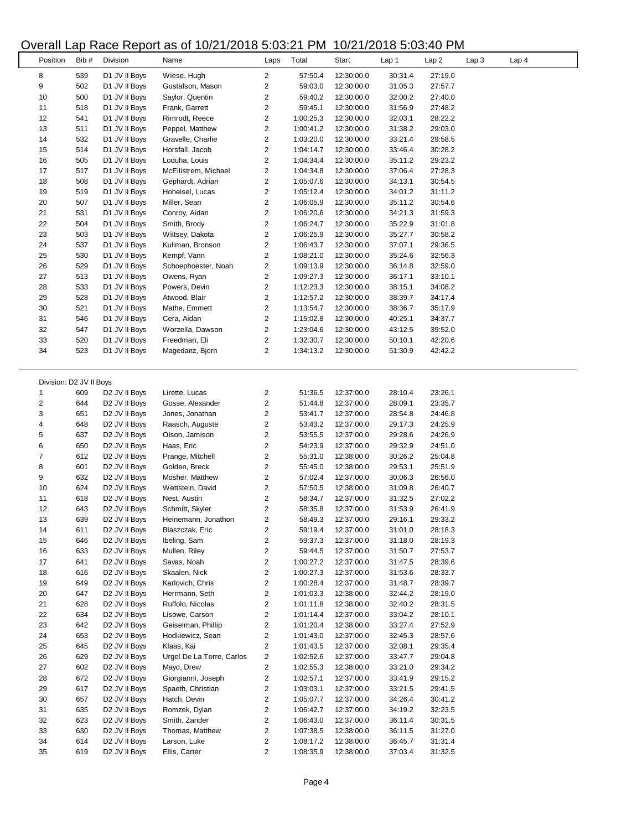## Overall Lap Race Report as of 10/21/2018 5:03:21 PM 10/21/2018 5:03:40 PM

|          |                         | $\cdots$                  |                           |                         | .         |            | . <del>.</del> |         |                                      |
|----------|-------------------------|---------------------------|---------------------------|-------------------------|-----------|------------|----------------|---------|--------------------------------------|
| Position | Bib #                   | Division                  | Name                      | Laps                    | Total     | Start      | Lap 1          | Lap2    | Lap <sub>3</sub><br>Lap <sub>4</sub> |
| 8        | 539                     | D1 JV II Boys             | Wiese, Hugh               | $\overline{2}$          | 57:50.4   | 12:30:00.0 | 30:31.4        | 27:19.0 |                                      |
| 9        | 502                     | D1 JV II Boys             | Gustafson, Mason          | 2                       | 59:03.0   | 12:30:00.0 | 31:05.3        | 27:57.7 |                                      |
| 10       | 500                     |                           | Saylor, Quentin           | 2                       | 59:40.2   |            | 32:00.2        |         |                                      |
|          |                         | D1 JV II Boys             |                           |                         |           | 12:30:00.0 |                | 27:40.0 |                                      |
| 11       | 518                     | D1 JV II Boys             | Frank, Garrett            | 2                       | 59:45.1   | 12:30:00.0 | 31:56.9        | 27:48.2 |                                      |
| 12       | 541                     | D1 JV II Boys             | Rimrodt, Reece            | 2                       | 1:00:25.3 | 12:30:00.0 | 32:03.1        | 28:22.2 |                                      |
| 13       | 511                     | D1 JV II Boys             | Peppel, Matthew           | $\overline{\mathbf{c}}$ | 1:00:41.2 | 12:30:00.0 | 31:38.2        | 29:03.0 |                                      |
| 14       | 532                     | D1 JV II Boys             | Gravelle, Charlie         | 2                       | 1:03:20.0 | 12:30:00.0 | 33:21.4        | 29:58.5 |                                      |
| 15       | 514                     | D1 JV II Boys             | Horsfall, Jacob           | $\overline{\mathbf{c}}$ | 1:04:14.7 | 12:30:00.0 | 33:46.4        | 30:28.2 |                                      |
| 16       | 505                     | D1 JV II Boys             | Loduha, Louis             | $\overline{c}$          | 1:04:34.4 | 12:30:00.0 | 35:11.2        | 29:23.2 |                                      |
| 17       | 517                     | D1 JV II Boys             | McEllistrem, Michael      | $\overline{2}$          | 1:04:34.8 | 12:30:00.0 | 37:06.4        | 27:28.3 |                                      |
| 18       | 508                     | D1 JV II Boys             | Gephardt, Adrian          | $\overline{c}$          | 1:05:07.6 | 12:30:00.0 | 34:13.1        | 30:54.5 |                                      |
| 19       | 519                     | D1 JV II Boys             | Hoheisel, Lucas           | 2                       | 1:05:12.4 | 12:30:00.0 | 34:01.2        | 31:11.2 |                                      |
| 20       | 507                     | D1 JV II Boys             | Miller, Sean              | 2                       | 1:06:05.9 | 12:30:00.0 | 35:11.2        | 30:54.6 |                                      |
| 21       | 531                     | D1 JV II Boys             | Conroy, Aidan             | $\overline{c}$          | 1:06:20.6 | 12:30:00.0 | 34:21.3        | 31:59.3 |                                      |
| 22       | 504                     | D1 JV II Boys             | Smith, Brody              | 2                       | 1:06:24.7 | 12:30:00.0 | 35:22.9        | 31:01.8 |                                      |
| 23       | 503                     | D1 JV II Boys             | Wiltsey, Dakota           | $\overline{\mathbf{c}}$ | 1:06:25.9 | 12:30:00.0 | 35:27.7        | 30:58.2 |                                      |
| 24       | 537                     | D1 JV II Boys             | Kullman, Bronson          | 2                       | 1:06:43.7 | 12:30:00.0 | 37:07.1        | 29:36.5 |                                      |
|          |                         |                           |                           |                         |           |            |                |         |                                      |
| 25       | 530                     | D1 JV II Boys             | Kempf, Vann               | $\overline{2}$          | 1:08:21.0 | 12:30:00.0 | 35:24.6        | 32:56.3 |                                      |
| 26       | 529                     | D1 JV II Boys             | Schoephoester, Noah       | $\overline{\mathbf{c}}$ | 1:09:13.9 | 12:30:00.0 | 36:14.8        | 32:59.0 |                                      |
| 27       | 513                     | D1 JV II Boys             | Owens, Ryan               | 2                       | 1:09:27.3 | 12:30:00.0 | 36:17.1        | 33:10.1 |                                      |
| 28       | 533                     | D1 JV II Boys             | Powers, Devin             | $\overline{\mathbf{c}}$ | 1:12:23.3 | 12:30:00.0 | 38:15.1        | 34:08.2 |                                      |
| 29       | 528                     | D1 JV II Boys             | Atwood, Blair             | $\overline{c}$          | 1:12:57.2 | 12:30:00.0 | 38:39.7        | 34:17.4 |                                      |
| 30       | 521                     | D1 JV II Boys             | Mathe, Emmett             | $\overline{c}$          | 1:13:54.7 | 12:30:00.0 | 38:36.7        | 35:17.9 |                                      |
| 31       | 546                     | D1 JV II Boys             | Cera, Aidan               | $\overline{2}$          | 1:15:02.8 | 12:30:00.0 | 40:25.1        | 34:37.7 |                                      |
| 32       | 547                     | D1 JV II Boys             | Worzella, Dawson          | 2                       | 1:23:04.6 | 12:30:00.0 | 43:12.5        | 39:52.0 |                                      |
| 33       | 520                     | D1 JV II Boys             | Freedman, Eli             | 2                       | 1:32:30.7 | 12:30:00.0 | 50:10.1        | 42:20.6 |                                      |
| 34       | 523                     | D1 JV II Boys             | Magedanz, Bjorn           | $\overline{c}$          | 1:34:13.2 | 12:30:00.0 | 51:30.9        | 42:42.2 |                                      |
|          |                         |                           |                           |                         |           |            |                |         |                                      |
|          |                         |                           |                           |                         |           |            |                |         |                                      |
|          |                         |                           |                           |                         |           |            |                |         |                                      |
|          | Division: D2 JV II Boys |                           |                           |                         |           |            |                |         |                                      |
| 1        | 609                     | D2 JV II Boys             | Lirette, Lucas            | 2                       | 51:36.5   | 12:37:00.0 | 28:10.4        | 23:26.1 |                                      |
| 2        | 644                     | D <sub>2</sub> JV II Boys | Gosse, Alexander          | 2                       | 51:44.8   | 12:37:00.0 | 28:09.1        | 23:35.7 |                                      |
| 3        | 651                     | D <sub>2</sub> JV II Boys | Jones, Jonathan           | $\overline{c}$          | 53:41.7   | 12:37:00.0 | 28:54.8        | 24:46.8 |                                      |
| 4        | 648                     | D <sub>2</sub> JV II Boys | Raasch, Auguste           | 2                       | 53:43.2   | 12:37:00.0 | 29:17.3        | 24:25.9 |                                      |
| 5        | 637                     | D <sub>2</sub> JV II Boys | Olson, Jamison            | 2                       | 53:55.5   | 12:37:00.0 | 29:28.6        | 24:26.9 |                                      |
| 6        | 650                     | D <sub>2</sub> JV II Boys | Haas, Eric                | $\overline{\mathbf{c}}$ | 54:23.9   | 12:37:00.0 | 29:32.9        | 24:51.0 |                                      |
| 7        | 612                     | D2 JV II Boys             | Prange, Mitchell          | $\overline{\mathbf{c}}$ | 55:31.0   | 12:38:00.0 | 30:26.2        | 25:04.8 |                                      |
| 8        | 601                     | D <sub>2</sub> JV II Boys | Golden, Breck             | 2                       | 55:45.0   | 12:38:00.0 | 29:53.1        | 25:51.9 |                                      |
| 9        | 632                     | D <sub>2</sub> JV II Boys | Mosher, Matthew           | $\overline{c}$          | 57:02.4   | 12:37:00.0 | 30:06.3        | 26:56.0 |                                      |
| 10       | 624                     | D2 JV II Boys             | Wettstein, David          | $\overline{\mathbf{c}}$ | 57:50.5   | 12:38:00.0 | 31:09.8        | 26:40.7 |                                      |
| 11       | 618                     | D <sub>2</sub> JV II Boys | Nest, Austin              | 2                       | 58:34.7   | 12:37:00.0 | 31:32.5        | 27:02.2 |                                      |
| 12       | 643                     | D <sub>2</sub> JV II Boys | Schmitt, Skyler           | 2                       | 58:35.8   | 12:37:00.0 | 31:53.9        | 26:41.9 |                                      |
| 13       | 639                     | D2 JV II Boys             | Heinemann, Jonathon       | 2                       | 58:49.3   | 12:37:00.0 | 29:16.1        | 29:33.2 |                                      |
|          |                         |                           |                           |                         |           |            |                |         |                                      |
| 14       | 611                     | D2 JV II Boys             | Blaszczak, Eric           | 2                       | 59:19.4   | 12:37:00.0 | 31:01.0        | 28:18.3 |                                      |
| 15       | 646                     | D2 JV II Boys             | Ibeling, Sam              | 2                       | 59:37.3   | 12:37:00.0 | 31:18.0        | 28:19.3 |                                      |
| 16       | 633                     | D2 JV II Boys             | Mullen, Riley             | 2                       | 59:44.5   | 12:37:00.0 | 31:50.7        | 27:53.7 |                                      |
| 17       | 641                     | D2 JV II Boys             | Savas, Noah               | 2                       | 1:00:27.2 | 12:37:00.0 | 31:47.5        | 28:39.6 |                                      |
| 18       | 616                     | D2 JV II Boys             | Skaalen, Nick             | 2                       | 1:00:27.3 | 12:37:00.0 | 31:53.6        | 28:33.7 |                                      |
| 19       | 649                     | D2 JV II Boys             | Karlovich, Chris          | 2                       | 1:00:28.4 | 12:37:00.0 | 31:48.7        | 28:39.7 |                                      |
| 20       | 647                     | D2 JV II Boys             | Herrmann, Seth            | 2                       | 1:01:03.3 | 12:38:00.0 | 32:44.2        | 28:19.0 |                                      |
| 21       | 628                     | D2 JV II Boys             | Ruffolo, Nicolas          | 2                       | 1:01:11.8 | 12:38:00.0 | 32:40.2        | 28:31.5 |                                      |
| 22       | 634                     | D2 JV II Boys             | Lisowe, Carson            | 2                       | 1:01:14.4 | 12:37:00.0 | 33:04.2        | 28:10.1 |                                      |
| 23       | 642                     | D <sub>2</sub> JV II Boys | Geiselman, Phillip        | 2                       | 1:01:20.4 | 12:38:00.0 | 33:27.4        | 27:52.9 |                                      |
| 24       | 653                     | D2 JV II Boys             | Hodkiewicz, Sean          | 2                       | 1:01:43.0 | 12:37:00.0 | 32:45.3        | 28:57.6 |                                      |
| 25       | 645                     | D2 JV II Boys             | Klaas, Kai                | $\overline{c}$          | 1:01:43.5 | 12:37:00.0 | 32:08.1        | 29:35.4 |                                      |
| 26       | 629                     | D2 JV II Boys             | Urgel De La Torre, Carlos | 2                       | 1:02:52.6 |            | 33:47.7        | 29:04.8 |                                      |
|          |                         |                           |                           |                         |           | 12:37:00.0 |                |         |                                      |
| 27       | 602                     | D <sub>2</sub> JV II Boys | Mayo, Drew                | 2                       | 1:02:55.3 | 12:38:00.0 | 33:21.0        | 29:34.2 |                                      |
| 28       | 672                     | D2 JV II Boys             | Giorgianni, Joseph        | 2                       | 1:02:57.1 | 12:37:00.0 | 33:41.9        | 29:15.2 |                                      |
| 29       | 617                     | D2 JV II Boys             | Spaeth, Christian         | 2                       | 1:03:03.1 | 12:37:00.0 | 33:21.5        | 29:41.5 |                                      |
| 30       | 657                     | D <sub>2</sub> JV II Boys | Hatch, Devin              | 2                       | 1:05:07.7 | 12:37:00.0 | 34:26.4        | 30:41.2 |                                      |
| 31       | 635                     | D <sub>2</sub> JV II Boys | Romzek, Dylan             | 2                       | 1:06:42.7 | 12:37:00.0 | 34:19.2        | 32:23.5 |                                      |
| 32       | 623                     | D2 JV II Boys             | Smith, Zander             | 2                       | 1:06:43.0 | 12:37:00.0 | 36:11.4        | 30:31.5 |                                      |
| 33       | 630                     | D2 JV II Boys             | Thomas, Matthew           | 2                       | 1:07:38.5 | 12:38:00.0 | 36:11.5        | 31:27.0 |                                      |
| 34       | 614                     | D2 JV II Boys             | Larson, Luke              | 2                       | 1:08:17.2 | 12:38:00.0 | 36:45.7        | 31:31.4 |                                      |
| 35       | 619                     | D2 JV II Boys             | Ellis, Carter             | $\overline{\mathbf{c}}$ | 1:08:35.9 | 12:38:00.0 | 37:03.4        | 31:32.5 |                                      |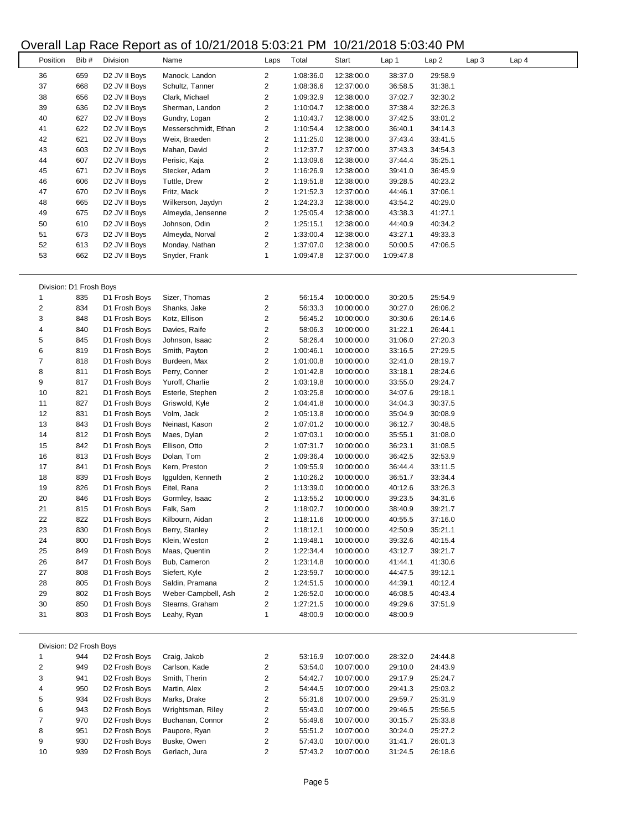## Overall Lap Race Report as of 10/21/2018 5:03:21 PM 10/21/2018 5:03:40 PM

 $\overline{\phantom{a}}$ 

 $\overline{a}$ 

|                          |      |                           | $5.00 \text{ m}$ Lap ridoo ridport do or ro/2 (/2010 0.00.2) in M |                         |           |            |           |         |       |       |  |
|--------------------------|------|---------------------------|-------------------------------------------------------------------|-------------------------|-----------|------------|-----------|---------|-------|-------|--|
| Position                 | Bib# | Division                  | Name                                                              | Laps                    | Total     | Start      | Lap 1     | Lap2    | Lap 3 | Lap 4 |  |
|                          |      |                           |                                                                   |                         |           |            |           |         |       |       |  |
| 36                       | 659  | D2 JV II Boys             | Manock, Landon                                                    | $\overline{2}$          | 1:08:36.0 | 12:38:00.0 | 38:37.0   | 29:58.9 |       |       |  |
| 37                       | 668  | D <sub>2</sub> JV II Boys | Schultz, Tanner                                                   | 2                       | 1:08:36.6 | 12:37:00.0 | 36:58.5   | 31:38.1 |       |       |  |
| 38                       | 656  | D <sub>2</sub> JV II Boys | Clark, Michael                                                    | 2                       | 1:09:32.9 | 12:38:00.0 | 37:02.7   | 32:30.2 |       |       |  |
| 39                       | 636  | D <sub>2</sub> JV II Boys | Sherman, Landon                                                   | 2                       | 1:10:04.7 | 12:38:00.0 | 37:38.4   | 32:26.3 |       |       |  |
| 40                       | 627  | D <sub>2</sub> JV II Boys | Gundry, Logan                                                     | 2                       | 1:10:43.7 | 12:38:00.0 | 37:42.5   | 33:01.2 |       |       |  |
| 41                       | 622  | D2 JV II Boys             | Messerschmidt, Ethan                                              | 2                       | 1:10:54.4 | 12:38:00.0 | 36:40.1   | 34:14.3 |       |       |  |
| 42                       | 621  | D2 JV II Boys             | Weix, Braeden                                                     | 2                       | 1:11:25.0 | 12:38:00.0 | 37:43.4   | 33:41.5 |       |       |  |
| 43                       | 603  | D <sub>2</sub> JV II Boys | Mahan, David                                                      | 2                       | 1:12:37.7 | 12:37:00.0 | 37:43.3   | 34:54.3 |       |       |  |
| 44                       | 607  | D <sub>2</sub> JV II Boys | Perisic, Kaja                                                     | $\overline{\mathbf{c}}$ | 1:13:09.6 | 12:38:00.0 | 37:44.4   | 35:25.1 |       |       |  |
| 45                       | 671  | D2 JV II Boys             | Stecker, Adam                                                     | 2                       | 1:16:26.9 | 12:38:00.0 | 39:41.0   | 36:45.9 |       |       |  |
| 46                       | 606  | D <sub>2</sub> JV II Boys | Tuttle, Drew                                                      | $\overline{c}$          | 1:19:51.8 | 12:38:00.0 | 39:28.5   | 40:23.2 |       |       |  |
| 47                       | 670  | D <sub>2</sub> JV II Boys | Fritz, Mack                                                       | 2                       | 1:21:52.3 | 12:37:00.0 | 44:46.1   | 37:06.1 |       |       |  |
| 48                       | 665  | D <sub>2</sub> JV II Boys | Wilkerson, Jaydyn                                                 | 2                       | 1:24:23.3 | 12:38:00.0 | 43:54.2   | 40:29.0 |       |       |  |
| 49                       | 675  | D <sub>2</sub> JV II Boys | Almeyda, Jensenne                                                 | 2                       | 1:25:05.4 | 12:38:00.0 | 43:38.3   | 41:27.1 |       |       |  |
| 50                       | 610  | D <sub>2</sub> JV II Boys | Johnson, Odin                                                     | 2                       | 1:25:15.1 | 12:38:00.0 | 44:40.9   | 40:34.2 |       |       |  |
| 51                       | 673  | D <sub>2</sub> JV II Boys | Almeyda, Norval                                                   | 2                       | 1:33:00.4 | 12:38:00.0 | 43:27.1   | 49:33.3 |       |       |  |
| 52                       | 613  | D <sub>2</sub> JV II Boys | Monday, Nathan                                                    | 2                       | 1:37:07.0 | 12:38:00.0 | 50:00.5   | 47:06.5 |       |       |  |
| 53                       | 662  | D <sub>2</sub> JV II Boys | Snyder, Frank                                                     | $\mathbf{1}$            | 1:09:47.8 | 12:37:00.0 | 1:09:47.8 |         |       |       |  |
|                          |      |                           |                                                                   |                         |           |            |           |         |       |       |  |
|                          |      |                           |                                                                   |                         |           |            |           |         |       |       |  |
| Division: D1 Frosh Boys  |      |                           |                                                                   |                         |           |            |           |         |       |       |  |
| 1                        | 835  | D1 Frosh Boys             | Sizer, Thomas                                                     | 2                       | 56:15.4   | 10:00:00.0 | 30:20.5   | 25:54.9 |       |       |  |
| 2                        | 834  | D1 Frosh Boys             | Shanks, Jake                                                      | $\overline{\mathbf{c}}$ | 56:33.3   | 10:00:00.0 | 30:27.0   | 26:06.2 |       |       |  |
| 3                        | 848  | D1 Frosh Boys             | Kotz, Ellison                                                     | $\overline{c}$          | 56:45.2   | 10:00:00.0 | 30:30.6   | 26:14.6 |       |       |  |
| 4                        | 840  | D1 Frosh Boys             | Davies, Raife                                                     | 2                       | 58:06.3   | 10:00:00.0 | 31:22.1   | 26:44.1 |       |       |  |
| 5                        | 845  | D1 Frosh Boys             | Johnson, Isaac                                                    | 2                       | 58:26.4   | 10:00:00.0 | 31:06.0   | 27:20.3 |       |       |  |
| 6                        | 819  | D1 Frosh Boys             | Smith, Payton                                                     | 2                       | 1:00:46.1 | 10:00:00.0 | 33:16.5   | 27:29.5 |       |       |  |
| 7                        | 818  | D1 Frosh Boys             | Burdeen, Max                                                      | 2                       | 1:01:00.8 | 10:00:00.0 | 32:41.0   | 28:19.7 |       |       |  |
| 8                        | 811  | D1 Frosh Boys             | Perry, Conner                                                     | 2                       | 1:01:42.8 | 10:00:00.0 | 33:18.1   | 28:24.6 |       |       |  |
| 9                        | 817  | D1 Frosh Boys             | Yuroff, Charlie                                                   | 2                       | 1:03:19.8 | 10:00:00.0 | 33:55.0   | 29:24.7 |       |       |  |
| 10                       | 821  | D1 Frosh Boys             | Esterle, Stephen                                                  | 2                       | 1:03:25.8 | 10:00:00.0 | 34:07.6   | 29:18.1 |       |       |  |
| 11                       | 827  | D1 Frosh Boys             | Griswold, Kyle                                                    | 2                       | 1:04:41.8 | 10:00:00.0 | 34:04.3   | 30:37.5 |       |       |  |
| 12                       | 831  | D1 Frosh Boys             | Volm, Jack                                                        | 2                       | 1:05:13.8 | 10:00:00.0 | 35:04.9   | 30:08.9 |       |       |  |
| 13                       | 843  | D1 Frosh Boys             | Neinast, Kason                                                    | $\overline{\mathbf{c}}$ | 1:07:01.2 | 10:00:00.0 | 36:12.7   | 30:48.5 |       |       |  |
| 14                       | 812  | D1 Frosh Boys             | Maes, Dylan                                                       | 2                       | 1:07:03.1 | 10:00:00.0 | 35:55.1   | 31:08.0 |       |       |  |
| 15                       | 842  | D1 Frosh Boys             | Ellison, Otto                                                     | 2                       | 1:07:31.7 | 10:00:00.0 | 36:23.1   | 31:08.5 |       |       |  |
| 16                       | 813  | D1 Frosh Boys             | Dolan, Tom                                                        | $\overline{\mathbf{c}}$ | 1:09:36.4 | 10:00:00.0 | 36:42.5   | 32:53.9 |       |       |  |
| 17                       | 841  | D1 Frosh Boys             | Kern, Preston                                                     | 2                       | 1:09:55.9 | 10:00:00.0 | 36:44.4   | 33:11.5 |       |       |  |
| 18                       | 839  | D1 Frosh Boys             | Iggulden, Kenneth                                                 | 2                       | 1:10:26.2 | 10:00:00.0 | 36:51.7   | 33:34.4 |       |       |  |
| 19                       | 826  | D1 Frosh Boys             | Eitel, Rana                                                       | $\overline{c}$          | 1:13:39.0 | 10:00:00.0 | 40:12.6   | 33:26.3 |       |       |  |
| 20                       | 846  | D1 Frosh Boys             | Gormley, Isaac                                                    | 2                       | 1:13:55.2 | 10:00:00.0 | 39:23.5   | 34:31.6 |       |       |  |
| 21                       | 815  | D1 Frosh Boys             | Falk, Sam                                                         | 2                       | 1:18:02.7 | 10:00:00.0 | 38:40.9   | 39:21.7 |       |       |  |
| 22                       | 822  | D1 Frosh Boys             | Kilbourn, Aidan                                                   | 2                       | 1:18:11.6 | 10:00:00.0 | 40:55.5   | 37:16.0 |       |       |  |
| 23                       | 830  | D1 Frosh Boys             | Berry, Stanley                                                    | 2                       | 1:18:12.1 | 10:00:00.0 | 42:50.9   | 35:21.1 |       |       |  |
| 24                       | 800  | D1 Frosh Boys             | Klein, Weston                                                     | 2                       | 1:19:48.1 | 10:00:00.0 | 39:32.6   | 40:15.4 |       |       |  |
| 25                       | 849  | D1 Frosh Boys             | Maas, Quentin                                                     | 2                       | 1:22:34.4 | 10:00:00.0 | 43:12.7   | 39:21.7 |       |       |  |
| 26                       | 847  | D1 Frosh Boys             | Bub, Cameron                                                      | 2                       | 1:23:14.8 | 10:00:00.0 | 41:44.1   | 41:30.6 |       |       |  |
| 27                       | 808  | D1 Frosh Boys             | Siefert, Kyle                                                     | 2                       | 1:23:59.7 | 10:00:00.0 | 44:47.5   | 39:12.1 |       |       |  |
| 28                       | 805  | D1 Frosh Boys             | Saldin, Pramana                                                   | $\overline{c}$          | 1:24:51.5 | 10:00:00.0 | 44:39.1   | 40:12.4 |       |       |  |
| 29                       | 802  | D1 Frosh Boys             | Weber-Campbell, Ash                                               | 2                       | 1:26:52.0 | 10:00:00.0 | 46:08.5   | 40:43.4 |       |       |  |
| 30                       | 850  | D1 Frosh Boys             | Stearns, Graham                                                   | 2                       | 1:27:21.5 | 10:00:00.0 | 49:29.6   | 37:51.9 |       |       |  |
| 31                       | 803  | D1 Frosh Boys             | Leahy, Ryan                                                       | 1                       | 48:00.9   | 10:00:00.0 | 48:00.9   |         |       |       |  |
|                          |      |                           |                                                                   |                         |           |            |           |         |       |       |  |
|                          |      |                           |                                                                   |                         |           |            |           |         |       |       |  |
| Division: D2 Frosh Boys  |      |                           |                                                                   |                         |           |            |           |         |       |       |  |
| $\mathbf{1}$             | 944  | D2 Frosh Boys             | Craig, Jakob                                                      | 2                       | 53:16.9   | 10:07:00.0 | 28:32.0   | 24:44.8 |       |       |  |
| 2                        | 949  | D <sub>2</sub> Frosh Boys | Carlson, Kade                                                     | 2                       | 53:54.0   | 10:07:00.0 | 29:10.0   | 24:43.9 |       |       |  |
| 3                        | 941  | D2 Frosh Boys             | Smith, Therin                                                     | 2                       | 54:42.7   | 10:07:00.0 | 29:17.9   | 25:24.7 |       |       |  |
| 4                        | 950  | D2 Frosh Boys             | Martin, Alex                                                      | 2                       | 54:44.5   | 10:07:00.0 | 29:41.3   | 25:03.2 |       |       |  |
| 5                        | 934  | D2 Frosh Boys             | Marks, Drake                                                      | 2                       | 55:31.6   | 10:07:00.0 | 29:59.7   | 25:31.9 |       |       |  |
| 6                        | 943  | D2 Frosh Boys             | Wrightsman, Riley                                                 | 2                       | 55:43.0   | 10:07:00.0 | 29:46.5   | 25:56.5 |       |       |  |
| $\overline{\mathcal{I}}$ | 970  | D2 Frosh Boys             | Buchanan, Connor                                                  | $\overline{\mathbf{c}}$ | 55:49.6   | 10:07:00.0 | 30:15.7   | 25:33.8 |       |       |  |
| 8                        | 951  | D2 Frosh Boys             | Paupore, Ryan                                                     | 2                       | 55:51.2   | 10:07:00.0 | 30:24.0   | 25:27.2 |       |       |  |
|                          | 930  | D2 Frosh Boys             | Buske, Owen                                                       |                         |           |            |           |         |       |       |  |
| 9                        |      |                           |                                                                   | 2                       | 57:43.0   | 10:07:00.0 | 31:41.7   | 26:01.3 |       |       |  |
| 10                       | 939  | D2 Frosh Boys             | Gerlach, Jura                                                     | 2                       | 57:43.2   | 10:07:00.0 | 31:24.5   | 26:18.6 |       |       |  |